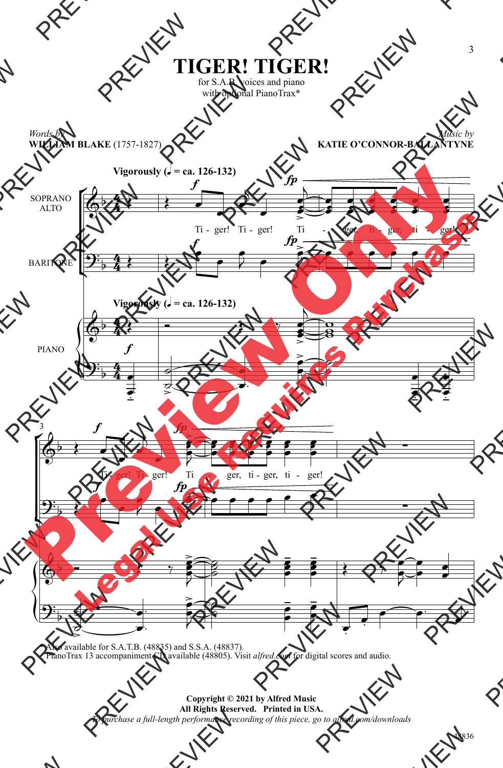## **TIGER! TIGER!**

for S.A.B. voices and piano with optional PianoTrax\*



<sup>\*</sup> Also available for S.A.T.B. (48835) and S.S.A. (48837). PianoTrax 13 accompaniment CD available (48805). Visit *alfred.com* for digital scores and audio.

**Copyright © 2021 by Alfred Music All Rights Reserved. Printed in USA.** *To purchase a full-length performance recording of this piece, go to alfred.com/downloads*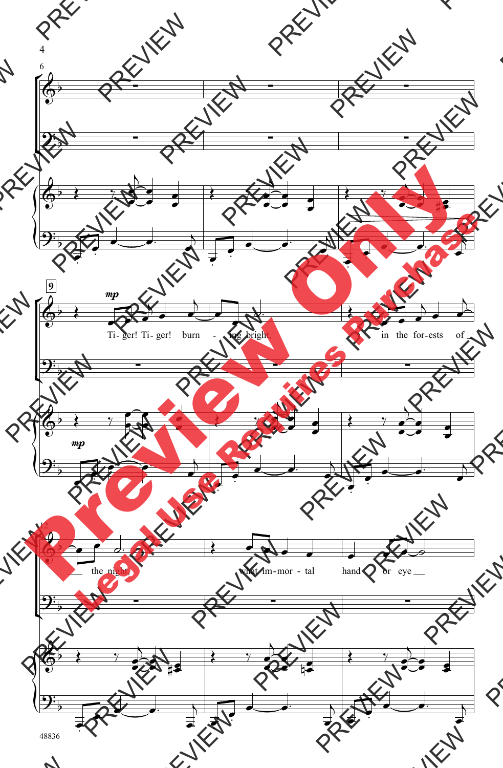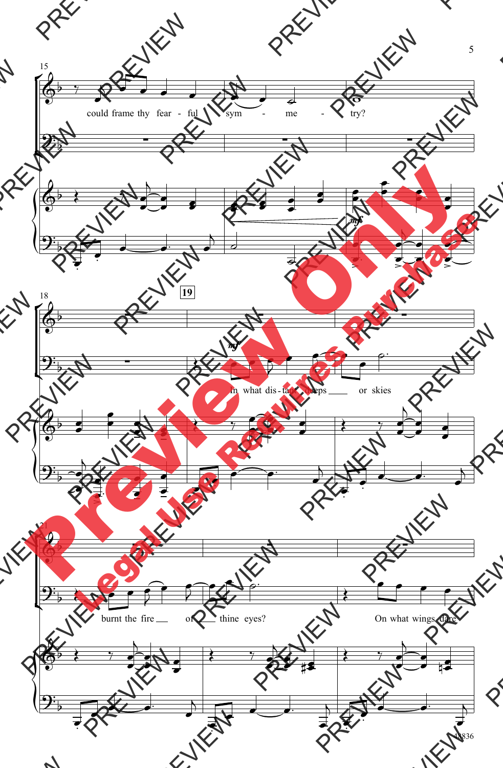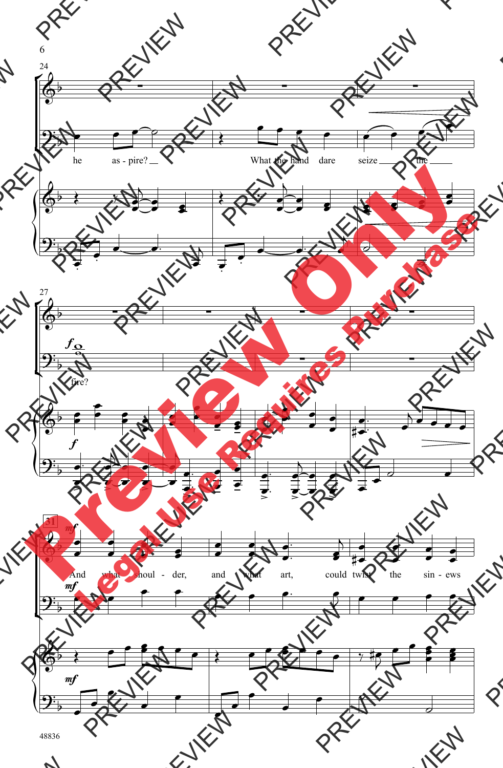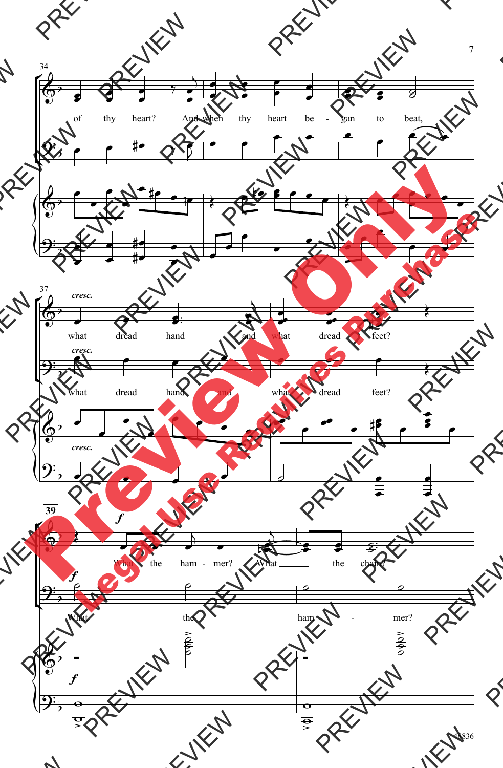

7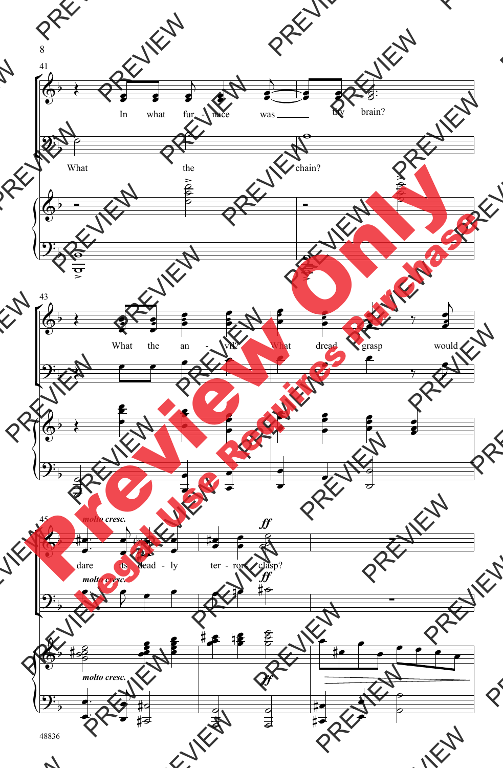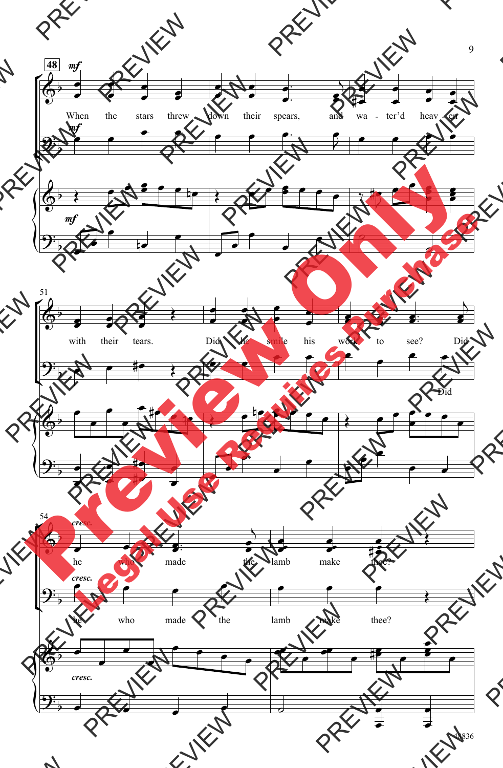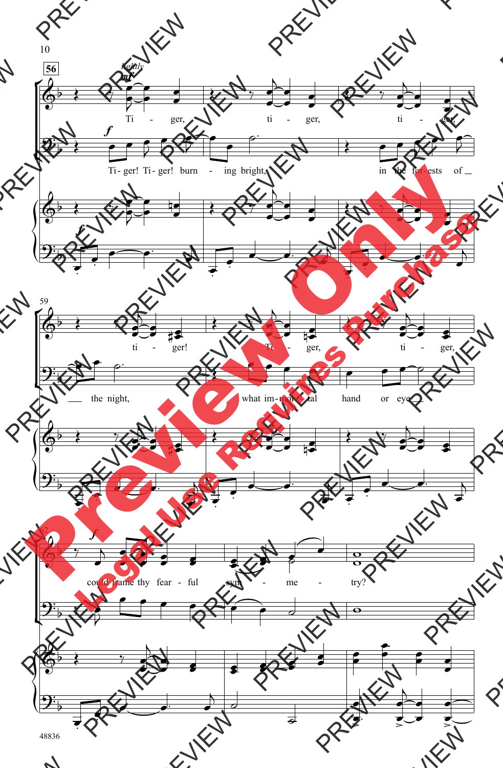